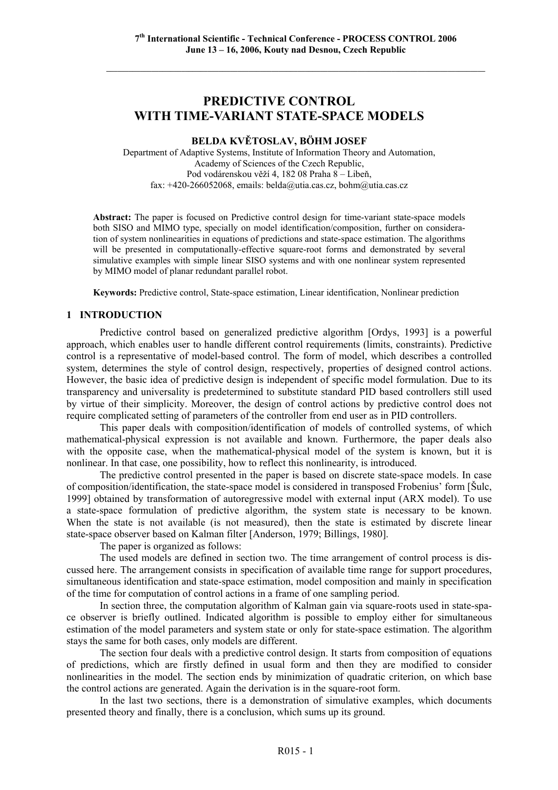# **PREDICTIVE CONTROL WITH TIME-VARIANT STATE-SPACE MODELS**

# **BELDA KVĚTOSLAV, BÖHM JOSEF**

Department of Adaptive Systems, Institute of Information Theory and Automation, Academy of Sciences of the Czech Republic, Pod vodárenskou věží 4, 182 08 Praha 8 – Libeň, fax: +420-266052068, emails: belda@utia.cas.cz, bohm@utia.cas.cz

**Abstract:** The paper is focused on Predictive control design for time-variant state-space models both SISO and MIMO type, specially on model identification/composition, further on consideration of system nonlinearities in equations of predictions and state-space estimation. The algorithms will be presented in computationally-effective square-root forms and demonstrated by several simulative examples with simple linear SISO systems and with one nonlinear system represented by MIMO model of planar redundant parallel robot.

**Keywords:** Predictive control, State-space estimation, Linear identification, Nonlinear prediction

#### **1 INTRODUCTION**

Predictive control based on generalized predictive algorithm [Ordys, 1993] is a powerful approach, which enables user to handle different control requirements (limits, constraints). Predictive control is a representative of model-based control. The form of model, which describes a controlled system, determines the style of control design, respectively, properties of designed control actions. However, the basic idea of predictive design is independent of specific model formulation. Due to its transparency and universality is predetermined to substitute standard PID based controllers still used by virtue of their simplicity. Moreover, the design of control actions by predictive control does not require complicated setting of parameters of the controller from end user as in PID controllers.

This paper deals with composition/identification of models of controlled systems, of which mathematical-physical expression is not available and known. Furthermore, the paper deals also with the opposite case, when the mathematical-physical model of the system is known, but it is nonlinear. In that case, one possibility, how to reflect this nonlinearity, is introduced.

The predictive control presented in the paper is based on discrete state-space models. In case of composition/identification, the state-space model is considered in transposed Frobenius' form [Šulc, 1999] obtained by transformation of autoregressive model with external input (ARX model). To use a state-space formulation of predictive algorithm, the system state is necessary to be known. When the state is not available (is not measured), then the state is estimated by discrete linear state-space observer based on Kalman filter [Anderson, 1979; Billings, 1980].

The paper is organized as follows:

The used models are defined in section two. The time arrangement of control process is discussed here. The arrangement consists in specification of available time range for support procedures, simultaneous identification and state-space estimation, model composition and mainly in specification of the time for computation of control actions in a frame of one sampling period.

In section three, the computation algorithm of Kalman gain via square-roots used in state-space observer is briefly outlined. Indicated algorithm is possible to employ either for simultaneous estimation of the model parameters and system state or only for state-space estimation. The algorithm stays the same for both cases, only models are different.

The section four deals with a predictive control design. It starts from composition of equations of predictions, which are firstly defined in usual form and then they are modified to consider nonlinearities in the model. The section ends by minimization of quadratic criterion, on which base the control actions are generated. Again the derivation is in the square-root form.

In the last two sections, there is a demonstration of simulative examples, which documents presented theory and finally, there is a conclusion, which sums up its ground.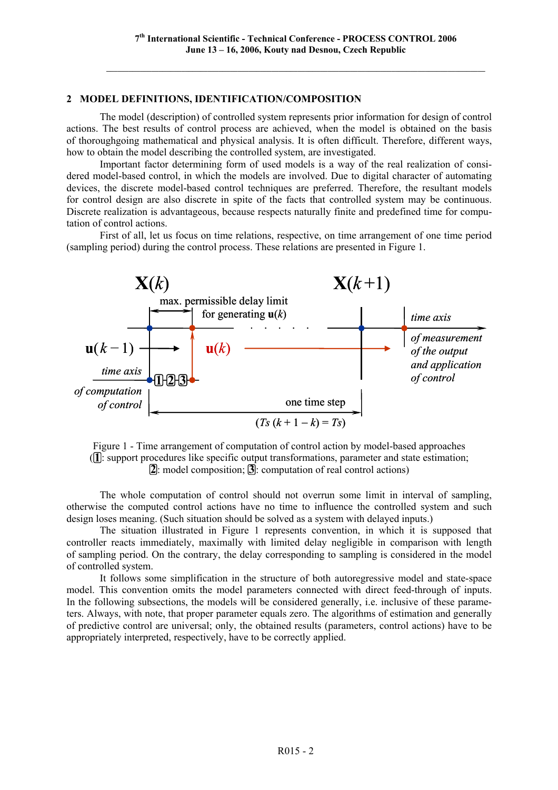# **2 MODEL DEFINITIONS, IDENTIFICATION/COMPOSITION**

The model (description) of controlled system represents prior information for design of control actions. The best results of control process are achieved, when the model is obtained on the basis of thoroughgoing mathematical and physical analysis. It is often difficult. Therefore, different ways, how to obtain the model describing the controlled system, are investigated.

Important factor determining form of used models is a way of the real realization of considered model-based control, in which the models are involved. Due to digital character of automating devices, the discrete model-based control techniques are preferred. Therefore, the resultant models for control design are also discrete in spite of the facts that controlled system may be continuous. Discrete realization is advantageous, because respects naturally finite and predefined time for computation of control actions.

First of all, let us focus on time relations, respective, on time arrangement of one time period (sampling period) during the control process. These relations are presented in Figure 1.



Figure 1 - Time arrangement of computation of control action by model-based approaches (**1**: support procedures like specific output transformations, parameter and state estimation; **2**: model composition; **3**: computation of real control actions)

The whole computation of control should not overrun some limit in interval of sampling, otherwise the computed control actions have no time to influence the controlled system and such design loses meaning. (Such situation should be solved as a system with delayed inputs.)

The situation illustrated in Figure 1 represents convention, in which it is supposed that controller reacts immediately, maximally with limited delay negligible in comparison with length of sampling period. On the contrary, the delay corresponding to sampling is considered in the model of controlled system.

It follows some simplification in the structure of both autoregressive model and state-space model. This convention omits the model parameters connected with direct feed-through of inputs. In the following subsections, the models will be considered generally, i.e. inclusive of these parameters. Always, with note, that proper parameter equals zero. The algorithms of estimation and generally of predictive control are universal; only, the obtained results (parameters, control actions) have to be appropriately interpreted, respectively, have to be correctly applied.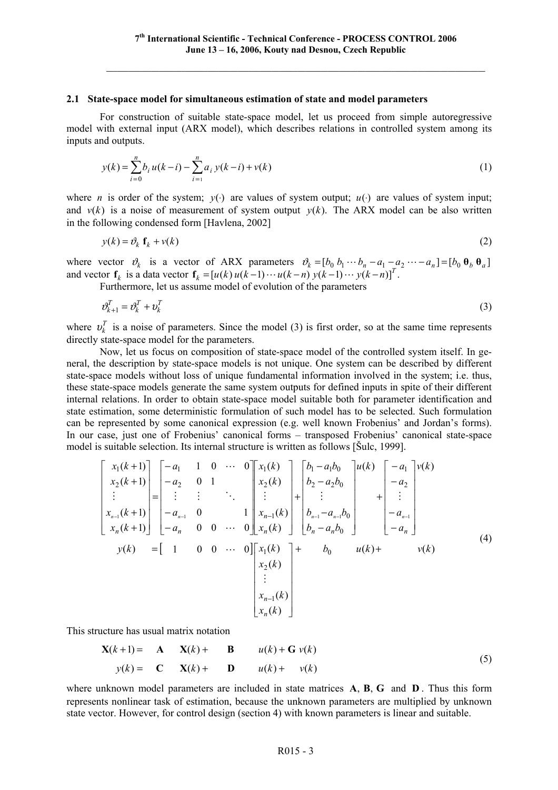#### **2.1 State-space model for simultaneous estimation of state and model parameters**

For construction of suitable state-space model, let us proceed from simple autoregressive model with external input (ARX model), which describes relations in controlled system among its inputs and outputs.

$$
y(k) = \sum_{i=0}^{n} b_i u(k-i) - \sum_{i=1}^{n} a_i y(k-i) + v(k)
$$
 (1)

where *n* is order of the system;  $y(·)$  are values of system output;  $u(·)$  are values of system input; and  $v(k)$  is a noise of measurement of system output  $v(k)$ . The ARX model can be also written in the following condensed form [Havlena, 2002]

$$
y(k) = \partial_k f_k + v(k) \tag{2}
$$

where vector  $\vartheta_k$  is a vector of ARX parameters  $\vartheta_k = [b_0 b_1 \cdots b_n - a_1 - a_2 \cdots - a_n] = [b_0 \theta_b \theta_a]$ and vector  $f_k$  is a data vector  $f_k = [u(k) u(k-1) \cdots u(k-n) y(k-1) \cdots y(k-n)]^T$ .

Furthermore, let us assume model of evolution of the parameters

$$
\mathcal{V}_{k+1}^T = \mathcal{V}_k^T + \mathcal{V}_k^T \tag{3}
$$

where  $v_k^T$  is a noise of parameters. Since the model (3) is first order, so at the same time represents directly state-space model for the parameters.

Now, let us focus on composition of state-space model of the controlled system itself. In general, the description by state-space models is not unique. One system can be described by different state-space models without loss of unique fundamental information involved in the system; i.e. thus, these state-space models generate the same system outputs for defined inputs in spite of their different internal relations. In order to obtain state-space model suitable both for parameter identification and state estimation, some deterministic formulation of such model has to be selected. Such formulation can be represented by some canonical expression (e.g. well known Frobenius' and Jordan's forms). In our case, just one of Frobenius' canonical forms – transposed Frobenius' canonical state-space model is suitable selection. Its internal structure is written as follows [Šulc, 1999].

$$
\begin{bmatrix}\nx_1(k+1) \\
x_2(k+1) \\
\vdots \\
x_{n-1}(k+1) \\
x_{n-1}(k+1)\n\end{bmatrix} = \begin{bmatrix}\n-a_1 & 1 & 0 & \cdots & 0 \\
-a_2 & 0 & 1 & & \\
\vdots & \vdots & & \ddots & \\
-a_n & 0 & 1 & & \\
-a_{n-1} & 0 & & 1 \\
-a_n & 0 & 0 & \cdots & 0\n\end{bmatrix} \begin{bmatrix}\nx_1(k) \\
x_2(k) \\
\vdots \\
x_{n-1}(k) \\
x_n(k)\n\end{bmatrix} + \begin{bmatrix}\nb_1 - a_1b_0 \\
b_2 - a_2b_0 \\
\vdots \\
b_n - a_nb_0\n\end{bmatrix} + \begin{bmatrix}\n-a_1 \\
\vdots \\
-a_n \\
\vdots \\
-a_{n-1}\n\end{bmatrix}
$$
\n
$$
y(k) = \begin{bmatrix}\n1 & 0 & 0 & \cdots & 0\n\end{bmatrix} \begin{bmatrix}\nx_1(k) \\
x_n(k) \\
x_n(k)\n\end{bmatrix} + b_0 \quad u(k) + v(k)
$$
\n
$$
\begin{bmatrix}\nx_1(k) \\
x_2(k) \\
\vdots \\
x_{n-1}(k) \\
x_n(k)\n\end{bmatrix} + b_0 \quad u(k) + v(k)
$$
\n(4)

This structure has usual matrix notation

$$
\mathbf{X}(k+1) = \mathbf{A} \qquad \mathbf{X}(k) + \mathbf{B} \qquad u(k) + \mathbf{G} \ v(k)
$$
  

$$
y(k) = \mathbf{C} \qquad \mathbf{X}(k) + \mathbf{D} \qquad u(k) + \quad v(k)
$$
 (5)

where unknown model parameters are included in state matrices **A**, **B**, **G** and **D** . Thus this form represents nonlinear task of estimation, because the unknown parameters are multiplied by unknown state vector. However, for control design (section 4) with known parameters is linear and suitable.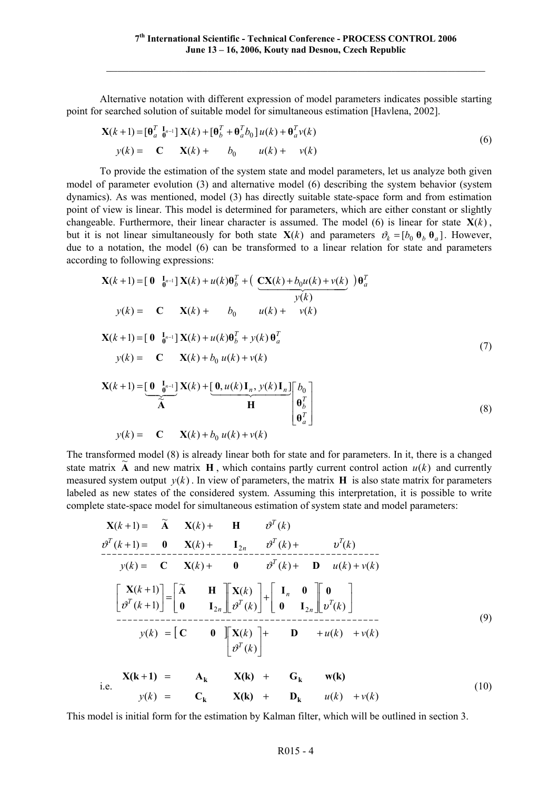Alternative notation with different expression of model parameters indicates possible starting point for searched solution of suitable model for simultaneous estimation [Havlena, 2002].

$$
\mathbf{X}(k+1) = \begin{bmatrix} \mathbf{\theta}_a^T & \mathbf{I}_{n-1} \end{bmatrix} \mathbf{X}(k) + \begin{bmatrix} \mathbf{\theta}_b^T + \mathbf{\theta}_a^T b_0 \end{bmatrix} u(k) + \mathbf{\theta}_a^T v(k)
$$
  
\n
$$
y(k) = \mathbf{C} \mathbf{X}(k) + b_0 \mathbf{u}(k) + v(k)
$$
\n(6)

To provide the estimation of the system state and model parameters, let us analyze both given model of parameter evolution (3) and alternative model (6) describing the system behavior (system dynamics). As was mentioned, model (3) has directly suitable state-space form and from estimation point of view is linear. This model is determined for parameters, which are either constant or slightly changeable. Furthermore, their linear character is assumed. The model (6) is linear for state  $X(k)$ , but it is not linear simultaneously for both state  $\mathbf{X}(k)$  and parameters  $v_k = [b_0 \theta_b \theta_a]$ . However, due to a notation, the model (6) can be transformed to a linear relation for state and parameters according to following expressions:

$$
\mathbf{X}(k+1) = \begin{bmatrix} \mathbf{0} & \mathbf{I}_{n-1} \end{bmatrix} \mathbf{X}(k) + u(k)\mathbf{\theta}_b^T + \left( \frac{\mathbf{C}\mathbf{X}(k) + b_0 u(k) + v(k)}{y(k)} \right) \mathbf{\theta}_a^T
$$
  
\n
$$
y(k) = \mathbf{C} \quad \mathbf{X}(k) + b_0 \quad u(k) + v(k)
$$
  
\n
$$
\mathbf{X}(k+1) = \begin{bmatrix} \mathbf{0} & \mathbf{I}_{n-1} \end{bmatrix} \mathbf{X}(k) + u(k)\mathbf{\theta}_b^T + y(k)\mathbf{\theta}_a^T
$$
  
\n
$$
y(k) = \mathbf{C} \quad \mathbf{X}(k) + b_0 u(k) + v(k)
$$
  
\n
$$
\mathbf{X}(k+1) = \begin{bmatrix} \mathbf{0} & \mathbf{I}_{n-1} \end{bmatrix} \mathbf{X}(k) + \begin{bmatrix} \mathbf{0} & u(k) \end{bmatrix} \mathbf{V}(k) \mathbf{I} \quad \mathbf{V}(k) \mathbf{I} \quad \mathbf{I} \quad \mathbf{I}_{n-1} \tag{7}
$$

$$
\mathbf{X}(k+1) = \underbrace{\begin{bmatrix} \mathbf{0} & \mathbf{I}_{n-1} \\ \mathbf{0} & \mathbf{0} \end{bmatrix}}_{\mathbf{A}} \mathbf{X}(k) + \underbrace{\begin{bmatrix} \mathbf{0}, u(k) \mathbf{I}_n, y(k) \mathbf{I}_n \end{bmatrix}}_{\mathbf{H}} \begin{bmatrix} b_0 \\ \mathbf{0}_b^T \\ \mathbf{0}_a^T \end{bmatrix}
$$
\n
$$
y(k) = \mathbf{C} \mathbf{X}(k) + b_0 u(k) + v(k)
$$
\n(8)

The transformed model (8) is already linear both for state and for parameters. In it, there is a changed state matrix  $\tilde{A}$  and new matrix  $H$ , which contains partly current control action  $u(k)$  and currently measured system output  $y(k)$ . In view of parameters, the matrix **H** is also state matrix for parameters labeled as new states of the considered system. Assuming this interpretation, it is possible to write complete state-space model for simultaneous estimation of system state and model parameters:

$$
\mathbf{X}(k+1) = \tilde{\mathbf{A}} \qquad \mathbf{X}(k) + \qquad \mathbf{H} \qquad \vartheta^{T}(k)
$$
\n
$$
\vartheta^{T}(k+1) = \mathbf{0} \qquad \mathbf{X}(k) + \mathbf{I}_{2n} \qquad \vartheta^{T}(k) + \mathbf{I}_{2n} \qquad \vartheta^{T}(k) + \mathbf{I}_{2n} \qquad \vartheta^{T}(k)
$$
\n
$$
y(k) = \mathbf{C} \qquad \mathbf{X}(k) + \mathbf{0} \qquad \vartheta^{T}(k) + \mathbf{D} \qquad u(k) + v(k)
$$
\n
$$
\begin{bmatrix} \mathbf{X}(k+1) \\ \vartheta^{T}(k+1) \end{bmatrix} = \begin{bmatrix} \tilde{\mathbf{A}} & \mathbf{H} \\ \mathbf{0} & \mathbf{I}_{2n} \end{bmatrix} \begin{bmatrix} \mathbf{X}(k) \\ \vartheta^{T}(k) \end{bmatrix} + \begin{bmatrix} \mathbf{I}_{n} & \mathbf{0} \\ \mathbf{0} & \mathbf{I}_{2n} \end{bmatrix} \begin{bmatrix} \mathbf{0} \\ \vartheta^{T}(k) \end{bmatrix}
$$
\n
$$
y(k) = \begin{bmatrix} \mathbf{C} & \mathbf{0} \\ \vartheta^{T}(k) \end{bmatrix} \begin{bmatrix} \mathbf{X}(k) \\ \vartheta^{T}(k) \end{bmatrix} + \mathbf{D} + u(k) + v(k)
$$
\n
$$
i.e. \qquad \mathbf{X}(k+1) = \mathbf{A}_{k} \qquad \mathbf{X}(k) + \mathbf{G}_{k} \qquad \mathbf{w}(k)
$$
\n(10)

This model is initial form for the estimation by Kalman filter, which will be outlined in section 3.

 $y(k) = C_k$   $X(k) + D_k$   $u(k) + v(k)$ 

 $\mathbf{C}_k$  **X(k)** +  $\mathbf{D}_k$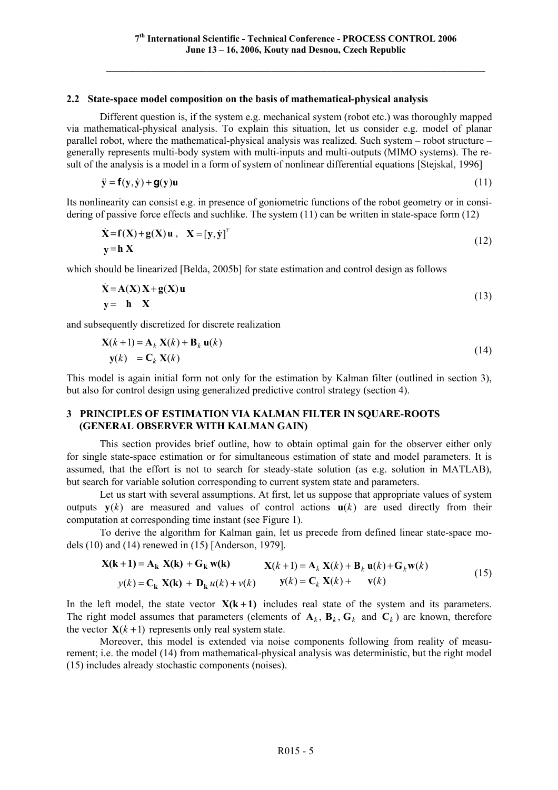#### **2.2 State-space model composition on the basis of mathematical-physical analysis**

Different question is, if the system e.g. mechanical system (robot etc.) was thoroughly mapped via mathematical-physical analysis. To explain this situation, let us consider e.g. model of planar parallel robot, where the mathematical-physical analysis was realized. Such system – robot structure – generally represents multi-body system with multi-inputs and multi-outputs (MIMO systems). The result of the analysis is a model in a form of system of nonlinear differential equations [Stejskal, 1996]

$$
\ddot{\mathbf{y}} = \mathbf{f}(\mathbf{y}, \dot{\mathbf{y}}) + \mathbf{g}(\mathbf{y})\mathbf{u}
$$
 (11)

Its nonlinearity can consist e.g. in presence of goniometric functions of the robot geometry or in considering of passive force effects and suchlike. The system (11) can be written in state-space form (12)

$$
\dot{\mathbf{X}} = \mathbf{f}(\mathbf{X}) + \mathbf{g}(\mathbf{X})\mathbf{u}, \quad \mathbf{X} = [\mathbf{y}, \dot{\mathbf{y}}]^T
$$
  
\n
$$
\mathbf{y} = \mathbf{h}\mathbf{X}
$$
 (12)

which should be linearized [Belda, 2005b] for state estimation and control design as follows

$$
\dot{\mathbf{X}} = \mathbf{A}(\mathbf{X})\mathbf{X} + \mathbf{g}(\mathbf{X})\mathbf{u}
$$
  
\n
$$
\mathbf{y} = \mathbf{h} \quad \mathbf{X}
$$
\n(13)

and subsequently discretized for discrete realization

$$
\mathbf{X}(k+1) = \mathbf{A}_k \mathbf{X}(k) + \mathbf{B}_k \mathbf{u}(k)
$$
  
\n
$$
\mathbf{y}(k) = \mathbf{C}_k \mathbf{X}(k)
$$
\n(14)

This model is again initial form not only for the estimation by Kalman filter (outlined in section 3), but also for control design using generalized predictive control strategy (section 4).

# **3 PRINCIPLES OF ESTIMATION VIA KALMAN FILTER IN SQUARE-ROOTS (GENERAL OBSERVER WITH KALMAN GAIN)**

This section provides brief outline, how to obtain optimal gain for the observer either only for single state-space estimation or for simultaneous estimation of state and model parameters. It is assumed, that the effort is not to search for steady-state solution (as e.g. solution in MATLAB), but search for variable solution corresponding to current system state and parameters.

Let us start with several assumptions. At first, let us suppose that appropriate values of system outputs  $y(k)$  are measured and values of control actions  $u(k)$  are used directly from their computation at corresponding time instant (see Figure 1).

To derive the algorithm for Kalman gain, let us precede from defined linear state-space models (10) and (14) renewed in (15) [Anderson, 1979].

$$
\mathbf{X}(\mathbf{k} + \mathbf{1}) = \mathbf{A}_{\mathbf{k}} \mathbf{X}(\mathbf{k}) + \mathbf{G}_{\mathbf{k}} \mathbf{w}(\mathbf{k}) \qquad \mathbf{X}(k+1) = \mathbf{A}_{k} \mathbf{X}(k) + \mathbf{B}_{k} \mathbf{u}(k) + \mathbf{G}_{k} \mathbf{w}(k)
$$
  
\n
$$
y(k) = \mathbf{C}_{\mathbf{k}} \mathbf{X}(\mathbf{k}) + \mathbf{D}_{\mathbf{k}} u(k) + v(k) \qquad \mathbf{y}(k) = \mathbf{C}_{k} \mathbf{X}(k) + \mathbf{v}(k)
$$
\n(15)

In the left model, the state vector  $X(k+1)$  includes real state of the system and its parameters. The right model assumes that parameters (elements of  $A_k$ ,  $B_k$ ,  $G_k$  and  $C_k$ ) are known, therefore the vector  $\mathbf{X}(k+1)$  represents only real system state.

Moreover, this model is extended via noise components following from reality of measurement; i.e. the model (14) from mathematical-physical analysis was deterministic, but the right model (15) includes already stochastic components (noises).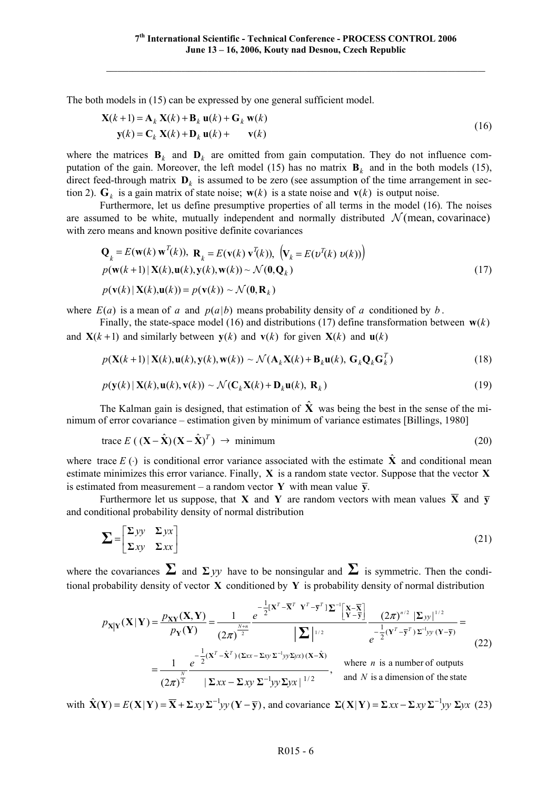The both models in (15) can be expressed by one general sufficient model.

$$
\mathbf{X}(k+1) = \mathbf{A}_k \mathbf{X}(k) + \mathbf{B}_k \mathbf{u}(k) + \mathbf{G}_k \mathbf{w}(k)
$$
  
\n
$$
\mathbf{y}(k) = \mathbf{C}_k \mathbf{X}(k) + \mathbf{D}_k \mathbf{u}(k) + \mathbf{v}(k)
$$
\n(16)

where the matrices  $\mathbf{B}_k$  and  $\mathbf{D}_k$  are omitted from gain computation. They do not influence computation of the gain. Moreover, the left model (15) has no matrix  $\mathbf{B}_k$  and in the both models (15), direct feed-through matrix  $\mathbf{D}_k$  is assumed to be zero (see assumption of the time arrangement in section 2).  $G_k$  is a gain matrix of state noise;  $w(k)$  is a state noise and  $v(k)$  is output noise.

Furthermore, let us define presumptive properties of all terms in the model (16). The noises are assumed to be white, mutually independent and normally distributed  $\mathcal{N}$  (mean, covarinace) with zero means and known positive definite covariances

$$
\mathbf{Q}_k = E(\mathbf{w}(k) \mathbf{w}^T(k)), \ \mathbf{R}_k = E(\mathbf{v}(k) \mathbf{v}^T(k)), \ \left(\mathbf{V}_k = E(\mathbf{v}^T(k) \mathbf{v}(k))\right)
$$
  
\n
$$
p(\mathbf{w}(k+1) | \mathbf{X}(k), \mathbf{u}(k), \mathbf{y}(k), \mathbf{w}(k)) \sim \mathcal{N}(\mathbf{0}, \mathbf{Q}_k)
$$
  
\n
$$
p(\mathbf{v}(k) | \mathbf{X}(k), \mathbf{u}(k)) = p(\mathbf{v}(k)) \sim \mathcal{N}(\mathbf{0}, \mathbf{R}_k)
$$
\n(17)

where  $E(a)$  is a mean of *a* and  $p(a|b)$  means probability density of *a* conditioned by *b*.

Finally, the state-space model (16) and distributions (17) define transformation between  $\mathbf{w}(k)$ and  $X(k+1)$  and similarly between  $y(k)$  and  $y(k)$  for given  $X(k)$  and  $y(k)$ 

$$
p(\mathbf{X}(k+1) | \mathbf{X}(k), \mathbf{u}(k), \mathbf{y}(k), \mathbf{w}(k)) \sim \mathcal{N}(\mathbf{A}_k \mathbf{X}(k) + \mathbf{B}_k \mathbf{u}(k), \mathbf{G}_k \mathbf{Q}_k \mathbf{G}_k^T)
$$
(18)

$$
p(\mathbf{y}(k) | \mathbf{X}(k), \mathbf{u}(k), \mathbf{v}(k)) \sim \mathcal{N}(\mathbf{C}_k \mathbf{X}(k) + \mathbf{D}_k \mathbf{u}(k), \mathbf{R}_k)
$$
\n(19)

The Kalman gain is designed, that estimation of  $\hat{\mathbf{X}}$  was being the best in the sense of the minimum of error covariance – estimation given by minimum of variance estimates [Billings, 1980]

trace 
$$
E((\mathbf{X} - \hat{\mathbf{X}})(\mathbf{X} - \hat{\mathbf{X}})^T) \rightarrow \text{minimum}
$$
 (20)

where trace  $E(\cdot)$  is conditional error variance associated with the estimate  $\hat{\mathbf{X}}$  and conditional mean estimate minimizes this error variance. Finally, **X** is a random state vector. Suppose that the vector **X** is estimated from measurement – a random vector **Y** with mean value  $\overline{\mathbf{v}}$ .

Furthermore let us suppose, that **X** and **Y** are random vectors with mean values  $\overline{X}$  and  $\overline{y}$ and conditional probability density of normal distribution

$$
\sum = \begin{bmatrix} \sum yy & \sum yx \\ \sum xy & \sum xx \end{bmatrix}
$$
 (21)

where the covariances  $\Sigma$  and  $\Sigma$  *yy* have to be nonsingular and  $\Sigma$  is symmetric. Then the conditional probability density of vector **X** conditioned by **Y** is probability density of normal distribution

$$
p_{\mathbf{X}|\mathbf{Y}}(\mathbf{X}|\mathbf{Y}) = \frac{p_{\mathbf{X}\mathbf{Y}}(\mathbf{X},\mathbf{Y})}{p_{\mathbf{Y}}(\mathbf{Y})} = \frac{1}{(2\pi)^{\frac{N+n}{2}}} e^{-\frac{1}{2}[\mathbf{X}^T - \overline{\mathbf{X}}^T \ \mathbf{Y}^T - \overline{\mathbf{y}}^T] \mathbf{\Sigma}^{-1} \left[\frac{\mathbf{Y} - \overline{\mathbf{X}}}{\mathbf{Y} - \overline{\mathbf{y}}}\right]}{|\mathbf{\Sigma}|^{1/2}} \frac{(2\pi)^{n/2} |\mathbf{\Sigma}_{yy}|^{1/2}}{e^{-\frac{1}{2}(\mathbf{Y}^T - \overline{\mathbf{y}}^T) \mathbf{\Sigma}^{-1} \mathbf{y} (\mathbf{Y} - \overline{\mathbf{y}})}} =
$$
\n
$$
= \frac{1}{(2\pi)^{\frac{N}{2}}} e^{-\frac{1}{2}(\mathbf{X}^T - \hat{\mathbf{X}}^T)(\mathbf{\Sigma}_{xx} - \mathbf{\Sigma}_{xy} \mathbf{\Sigma}^{-1} \mathbf{y} \mathbf{\Sigma}_{yx})(\mathbf{X} - \hat{\mathbf{X}})}{|\mathbf{\Sigma}_{xx} - \mathbf{\Sigma}_{xy} \mathbf{\Sigma}^{-1} \mathbf{y} \mathbf{\Sigma}_{yx}|^{1/2}}, \text{ where } n \text{ is a number of outputs and } N \text{ is a dimension of the state}
$$
\n(22)

with  $\hat{\mathbf{X}}(\mathbf{Y}) = E(\mathbf{X} | \mathbf{Y}) = \overline{\mathbf{X}} + \Sigma xy \Sigma^{-1} yy (\mathbf{Y} - \overline{\mathbf{y}})$ , and covariance  $\Sigma(\mathbf{X} | \mathbf{Y}) = \Sigma xx - \Sigma xy \Sigma^{-1} yy \Sigma yx$  (23)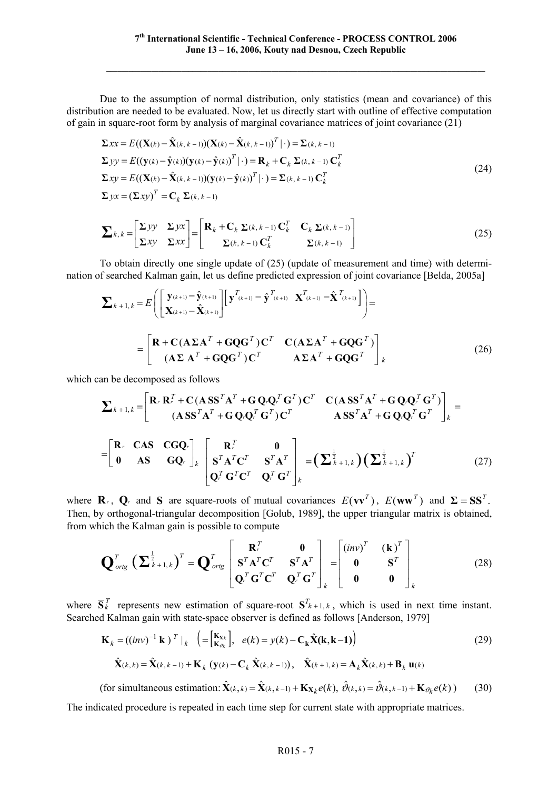Due to the assumption of normal distribution, only statistics (mean and covariance) of this distribution are needed to be evaluated. Now, let us directly start with outline of effective computation of gain in square-root form by analysis of marginal covariance matrices of joint covariance  $(21)$ 

$$
\Sigma xx = E((\mathbf{X}(k) - \hat{\mathbf{X}}(k, k-1))(\mathbf{X}(k) - \hat{\mathbf{X}}(k, k-1))^T | \cdot) = \Sigma(k, k-1)
$$
  
\n
$$
\Sigma yy = E((\mathbf{y}(k) - \hat{\mathbf{y}}(k))(\mathbf{y}(k) - \hat{\mathbf{y}}(k))^T | \cdot) = \mathbf{R}_k + \mathbf{C}_k \Sigma(k, k-1) \mathbf{C}_k^T
$$
  
\n
$$
\Sigma xy = E((\mathbf{X}(k) - \hat{\mathbf{X}}(k, k-1))(\mathbf{y}(k) - \hat{\mathbf{y}}(k))^T | \cdot) = \Sigma(k, k-1) \mathbf{C}_k^T
$$
  
\n
$$
\Sigma yx = (\Sigma xy)^T = \mathbf{C}_k \Sigma(k, k-1)
$$
\n(24)

$$
\sum k, k = \begin{bmatrix} \sum yy & \sum yx \\ \sum xy & \sum xx \end{bmatrix} = \begin{bmatrix} \mathbf{R}_k + \mathbf{C}_k \sum (k, k-1) \mathbf{C}_k^T & \mathbf{C}_k \sum (k, k-1) \\ \sum (k, k-1) \mathbf{C}_k^T & \sum (k, k-1) \end{bmatrix} \tag{25}
$$

To obtain directly one single update of (25) (update of measurement and time) with determination of searched Kalman gain, let us define predicted expression of joint covariance [Belda, 2005a]

$$
\sum_{k+1,k} E\left[\begin{bmatrix} \mathbf{y}_{(k+1)} - \hat{\mathbf{y}}_{(k+1)} \\ \mathbf{X}_{(k+1)} - \hat{\mathbf{X}}_{(k+1)} \end{bmatrix} \begin{bmatrix} \mathbf{y}^{T_{(k+1)}} - \hat{\mathbf{y}}^{T_{(k+1)}} & \mathbf{X}^{T_{(k+1)}} - \hat{\mathbf{X}}^{T_{(k+1)}} \end{bmatrix} \right] = \begin{bmatrix} \mathbf{R} + \mathbf{C} (\mathbf{A} \Sigma \mathbf{A}^{T} + \mathbf{G} \mathbf{Q} \mathbf{G}^{T}) \mathbf{C}^{T} & \mathbf{C} (\mathbf{A} \Sigma \mathbf{A}^{T} + \mathbf{G} \mathbf{Q} \mathbf{G}^{T}) \\ (\mathbf{A} \Sigma \mathbf{A}^{T} + \mathbf{G} \mathbf{Q} \mathbf{G}^{T}) \mathbf{C}^{T} & \mathbf{A} \Sigma \mathbf{A}^{T} + \mathbf{G} \mathbf{Q} \mathbf{G}^{T} \end{bmatrix}_{k} \tag{26}
$$

which can be decomposed as follows

$$
\sum_{k+1,k} = \begin{bmatrix} \mathbf{R}_r \ \mathbf{R}_r^T + \mathbf{C} \left( \mathbf{A} \mathbf{S} \mathbf{S}^T \mathbf{A}^T + \mathbf{G} \mathbf{Q}_r \mathbf{Q}_r^T \mathbf{G}^T \right) \mathbf{C}^T & \mathbf{C} \left( \mathbf{A} \mathbf{S} \mathbf{S}^T \mathbf{A}^T + \mathbf{G} \mathbf{Q}_r \mathbf{Q}_r^T \mathbf{G}^T \right) \\ \mathbf{A} \mathbf{S} \mathbf{S}^T \mathbf{A}^T + \mathbf{G} \mathbf{Q}_r \mathbf{Q}_r^T \mathbf{G}^T \mathbf{C}^T & \mathbf{A} \mathbf{S} \mathbf{S}^T \mathbf{A}^T + \mathbf{G} \mathbf{Q}_r \mathbf{Q}_r^T \mathbf{G}^T \end{bmatrix}_k = \begin{bmatrix} \mathbf{R}_r & \mathbf{C} \mathbf{A} \mathbf{S} & \mathbf{C} \mathbf{G} \mathbf{Q}_r \\ \mathbf{0} & \mathbf{A} \mathbf{S} & \mathbf{G} \mathbf{Q}_r \end{bmatrix}_k \begin{bmatrix} \mathbf{R}_r^T & \mathbf{0} \\ \mathbf{S}^T \mathbf{A}^T \mathbf{C}^T & \mathbf{S}^T \mathbf{A}^T \\ \mathbf{Q}_r^T \mathbf{G}^T \mathbf{C}^T & \mathbf{Q}_r^T \mathbf{G}^T \end{bmatrix}_k = \left( \sum_{k=1, k} \sum_{k=1, k} \right) \left( \sum_{k=1, k} \sum_{k=1, k} \sum_{k=1, k} \sum_{k=1, k} \sum_{k=1, k=1} \sum_{k=1, k=1} \sum_{k=1, k=1} \sum_{k=1, k=1} \sum_{k=1, k=1} \sum_{k=1, k=1} \sum_{k=1, k=1} \sum_{k=1, k=1} \sum_{k=1, k=1} \sum_{k=1, k=1} \sum_{k=1, k=1} \sum_{k=1, k=1} \sum_{k=1, k=1} \sum_{k=1, k=1}
$$

where **R**<sub>*r*</sub>, **Q**<sub>*r*</sub> and **S** are square-roots of mutual covariances  $E(vv^T)$ ,  $E(ww^T)$  and  $\Sigma = SS^T$ . Then, by orthogonal-triangular decomposition [Golub, 1989], the upper triangular matrix is obtained, from which the Kalman gain is possible to compute

$$
\mathbf{Q}_{\text{orig}}^T \left( \mathbf{\Sigma}_{k+1,k}^{\frac{1}{2}} \right)^T = \mathbf{Q}_{\text{orig}}^T \begin{bmatrix} \mathbf{R}_r^T & \mathbf{0} \\ \mathbf{S}_r^T \mathbf{A}_r^T \mathbf{C}_r^T & \mathbf{S}_r^T \mathbf{A}_r^T \\ \mathbf{Q}_r^T \mathbf{G}_r^T \mathbf{C}_r^T & \mathbf{Q}_r^T \mathbf{G}_r^T \end{bmatrix}_k = \begin{bmatrix} \left(i n v\right)^T & \left(\mathbf{k}\right)^T \\ \mathbf{0} & \mathbf{\overline{S}}^T \\ \mathbf{0} & \mathbf{0} \end{bmatrix}_k \tag{28}
$$

where  $\overline{S}_k^T$  represents new estimation of square-root  $S_{k+1,k}$ , which is used in next time instant. Searched Kalman gain with state-space observer is defined as follows [Anderson, 1979]

$$
\mathbf{K}_{k} = ((inv)^{-1} \mathbf{k})^{T} |_{k} \left( = \begin{bmatrix} \mathbf{K}_{\mathbf{x}_{k}} \\ \mathbf{K}_{\vartheta_{k}} \end{bmatrix}, e(k) = y(k) - \mathbf{C}_{k} \hat{\mathbf{X}}(\mathbf{k}, \mathbf{k} - 1) \right)
$$
(29)  

$$
\hat{\mathbf{X}}(k, k) = \hat{\mathbf{X}}(k, k - 1) + \mathbf{K}_{k} \left( \mathbf{y}(k) - \mathbf{C}_{k} \hat{\mathbf{X}}(k, k - 1) \right), \quad \hat{\mathbf{X}}(k + 1, k) = \mathbf{A}_{k} \hat{\mathbf{X}}(k, k) + \mathbf{B}_{k} \mathbf{u}(k)
$$

(for simultaneous estimation:  $\hat{\mathbf{X}}_{(k,k)} = \hat{\mathbf{X}}_{(k,k-1)} + \mathbf{K}_{\mathbf{X}_k} e(k), \ \hat{\mathbf{v}}_{(k,k)} = \hat{\mathbf{v}}_{(k,k-1)} + \mathbf{K}_{\mathbf{v}_k} e(k)$ ) (30)

The indicated procedure is repeated in each time step for current state with appropriate matrices.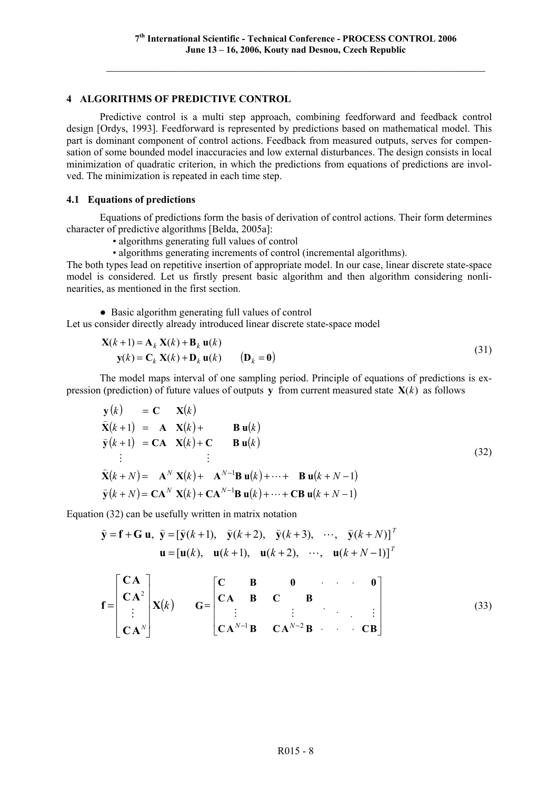# **4 ALGORITHMS OF PREDICTIVE CONTROL**

Predictive control is a multi step approach, combining feedforward and feedback control design [Ordys, 1993]. Feedforward is represented by predictions based on mathematical model. This part is dominant component of control actions. Feedback from measured outputs, serves for compensation of some bounded model inaccuracies and low external disturbances. The design consists in local minimization of quadratic criterion, in which the predictions from equations of predictions are involved. The minimization is repeated in each time step.

#### **4.1 Equations of predictions**

Equations of predictions form the basis of derivation of control actions. Their form determines character of predictive algorithms [Belda, 2005a]:

- algorithms generating full values of control
- algorithms generating increments of control (incremental algorithms).

The both types lead on repetitive insertion of appropriate model. In our case, linear discrete state-space model is considered. Let us firstly present basic algorithm and then algorithm considering nonlinearities, as mentioned in the first section.

● Basic algorithm generating full values of control

Let us consider directly already introduced linear discrete state-space model

$$
\mathbf{X}(k+1) = \mathbf{A}_k \mathbf{X}(k) + \mathbf{B}_k \mathbf{u}(k)
$$
  
\n
$$
\mathbf{y}(k) = \mathbf{C}_k \mathbf{X}(k) + \mathbf{D}_k \mathbf{u}(k)
$$
 (31)

The model maps interval of one sampling period. Principle of equations of predictions is expression (prediction) of future values of outputs **y** from current measured state  $X(k)$  as follows

$$
y(k) = C X(k)
$$
  
\n
$$
\hat{X}(k+1) = A X(k) + B u(k)
$$
  
\n
$$
\hat{y}(k+1) = CA X(k) + C B u(k)
$$
  
\n
$$
\vdots \qquad \vdots
$$
  
\n
$$
\hat{X}(k+N) = A^{N} X(k) + A^{N-1} B u(k) + \cdots + B u(k+N-1)
$$
  
\n
$$
\hat{y}(k+N) = CA^{N} X(k) + CA^{N-1} B u(k) + \cdots + CB u(k+N-1)
$$
\n(32)

Equation (32) can be usefully written in matrix notation

$$
\hat{\mathbf{y}} = \mathbf{f} + \mathbf{G} \mathbf{u}, \quad \hat{\mathbf{y}} = [\hat{\mathbf{y}}(k+1), \quad \hat{\mathbf{y}}(k+2), \quad \hat{\mathbf{y}}(k+3), \quad \cdots, \quad \hat{\mathbf{y}}(k+N)]^T
$$

$$
\mathbf{u} = [\mathbf{u}(k), \quad \mathbf{u}(k+1), \quad \mathbf{u}(k+2), \quad \cdots, \quad \mathbf{u}(k+N-1)]^T
$$

$$
\mathbf{f} = \begin{bmatrix} \mathbf{C}\mathbf{A} \\ \mathbf{C}\mathbf{A}^2 \\ \vdots \\ \mathbf{C}\mathbf{A}^N \end{bmatrix} \mathbf{X}(k) \qquad \mathbf{G} = \begin{bmatrix} \mathbf{C} & \mathbf{B} & \mathbf{0} & \cdots & \mathbf{0} \\ \mathbf{C}\mathbf{A} & \mathbf{B} & \mathbf{C} & \mathbf{B} & \cdots & \vdots \\ \vdots & \vdots & \ddots & \vdots & \vdots \\ \mathbf{C}\mathbf{A}^{N-1}\mathbf{B} & \mathbf{C}\mathbf{A}^{N-2}\mathbf{B} & \cdots & \mathbf{C}\mathbf{B} \end{bmatrix} \tag{33}
$$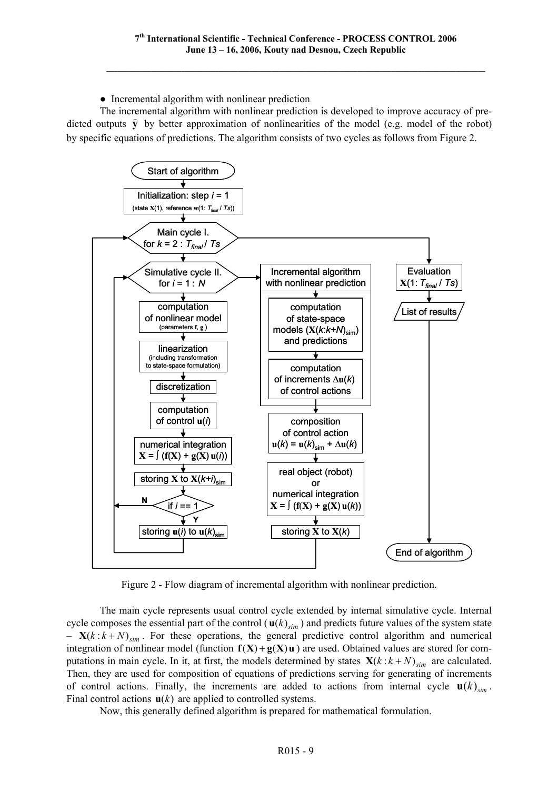• Incremental algorithm with nonlinear prediction

The incremental algorithm with nonlinear prediction is developed to improve accuracy of predicted outputs  $\hat{y}$  by better approximation of nonlinearities of the model (e.g. model of the robot) by specific equations of predictions. The algorithm consists of two cycles as follows from Figure 2.



Figure 2 - Flow diagram of incremental algorithm with nonlinear prediction.

The main cycle represents usual control cycle extended by internal simulative cycle. Internal cycle composes the essential part of the control ( $\mathbf{u}(k)_{sim}$ ) and predicts future values of the system state  $-$  **X**( $k : k + N$ )<sub>sim</sub>. For these operations, the general predictive control algorithm and numerical integration of nonlinear model (function  $f(X) + g(X)u$ ) are used. Obtained values are stored for computations in main cycle. In it, at first, the models determined by states  $\mathbf{X}(k : k + N)_{sim}$  are calculated. Then, they are used for composition of equations of predictions serving for generating of increments of control actions. Finally, the increments are added to actions from internal cycle  $\mathbf{u}(k)$ <sub>cin</sub>. Final control actions  $\mathbf{u}(k)$  are applied to controlled systems.

Now, this generally defined algorithm is prepared for mathematical formulation.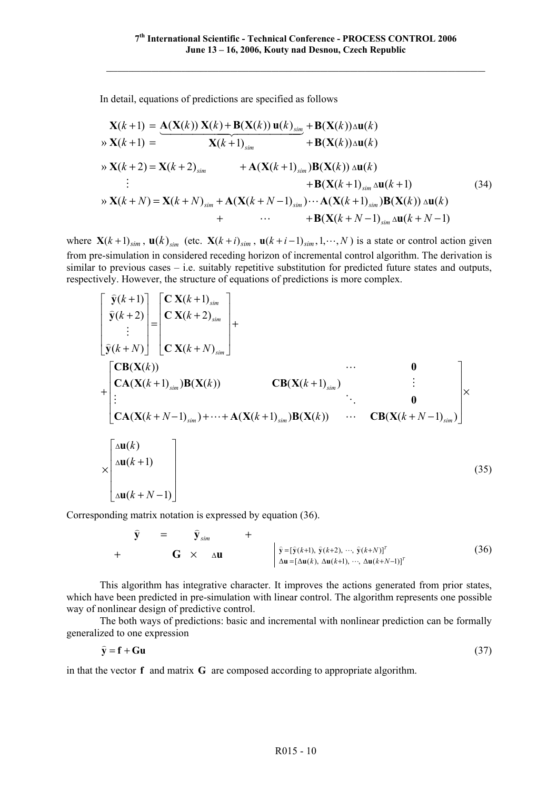In detail, equations of predictions are specified as follows

$$
\mathbf{X}(k+1) = \mathbf{A}(\mathbf{X}(k)) \mathbf{X}(k) + \mathbf{B}(\mathbf{X}(k)) \mathbf{u}(k) \sin(k) + \mathbf{B}(\mathbf{X}(k)) \triangle \mathbf{u}(k)
$$
\n
$$
\Rightarrow \mathbf{X}(k+1) = \mathbf{X}(k+1) \sin(k) + \mathbf{B}(\mathbf{X}(k)) \triangle \mathbf{u}(k)
$$
\n
$$
\Rightarrow \mathbf{X}(k+2) = \mathbf{X}(k+2) \sin(k) + \mathbf{A}(\mathbf{X}(k+1) \sin(k) + \mathbf{B}(\mathbf{X}(k+1) \sin(k)) \triangle \mathbf{u}(k)
$$
\n
$$
\vdots + \mathbf{B}(\mathbf{X}(k+1) \sin(k+1) + \mathbf{B}(\mathbf{X}(k+1) \sin(k)) \triangle \mathbf{u}(k)
$$
\n
$$
\Rightarrow \mathbf{X}(k+N) = \mathbf{X}(k+N) \sin(k) + \mathbf{B}(\mathbf{X}(k+N-1) \sin(k) \triangle \mathbf{u}(k+N-1)
$$
\n(34)

where  $\mathbf{X}(k+1)_{sim}$ ,  $\mathbf{u}(k)_{sim}$  (etc.  $\mathbf{X}(k+i)_{sim}$ ,  $\mathbf{u}(k+i-1)_{sim}$ , 1,…, N) is a state or control action given from pre-simulation in considered receding horizon of incremental control algorithm. The derivation is similar to previous cases – i.e. suitably repetitive substitution for predicted future states and outputs, respectively. However, the structure of equations of predictions is more complex.

$$
\begin{bmatrix}\n\widehat{\mathbf{y}}(k+1) \\
\widehat{\mathbf{y}}(k+2) \\
\vdots \\
\widehat{\mathbf{y}}(k+N)\n\end{bmatrix} =\n\begin{bmatrix}\n\mathbf{C}\mathbf{X}(k+1)_{sim} \\
\mathbf{C}\mathbf{X}(k+2)_{sim} \\
\mathbf{C}\mathbf{X}(k+1)_{sim}\n\end{bmatrix} +\n\begin{bmatrix}\n\mathbf{C}\mathbf{B}(\mathbf{X}(k)) & \cdots & \mathbf{0} \\
\mathbf{C}\mathbf{A}(\mathbf{X}(k+1)_{sim})\mathbf{B}(\mathbf{X}(k)) & \cdots & \mathbf{C}\mathbf{B}(\mathbf{X}(k+1)_{sim})\n\end{bmatrix} \times \begin{bmatrix}\n\mathbf{C}\mathbf{B}(\mathbf{X}(k+1)_{sim}) & \cdots & \mathbf{C}\mathbf{B}(\mathbf{X}(k+N-1)_{sim})\n\end{bmatrix} \times \begin{bmatrix}\n\Delta \mathbf{u}(k) \\
\Delta \mathbf{u}(k+1) \\
\Delta \mathbf{u}(k+N-1)\n\end{bmatrix}
$$
\n(35)

Corresponding matrix notation is expressed by equation (36).

$$
\hat{\mathbf{y}} = \hat{\mathbf{y}}_{sim} + \begin{cases}\n\hat{\mathbf{y}}_{sim} & + \hat{\mathbf{y}} = [\hat{\mathbf{y}}(k+1), \hat{\mathbf{y}}(k+2), \cdots, \hat{\mathbf{y}}(k+N)]^T \\
\Delta \mathbf{u} = [\Delta \mathbf{u}(k), \Delta \mathbf{u}(k+1), \cdots, \Delta \mathbf{u}(k+N-1)]^T\n\end{cases}
$$
\n(36)

This algorithm has integrative character. It improves the actions generated from prior states, which have been predicted in pre-simulation with linear control. The algorithm represents one possible way of nonlinear design of predictive control.

The both ways of predictions: basic and incremental with nonlinear prediction can be formally generalized to one expression

$$
\hat{\mathbf{y}} = \mathbf{f} + \mathbf{G}\mathbf{u} \tag{37}
$$

in that the vector **f** and matrix **G** are composed according to appropriate algorithm.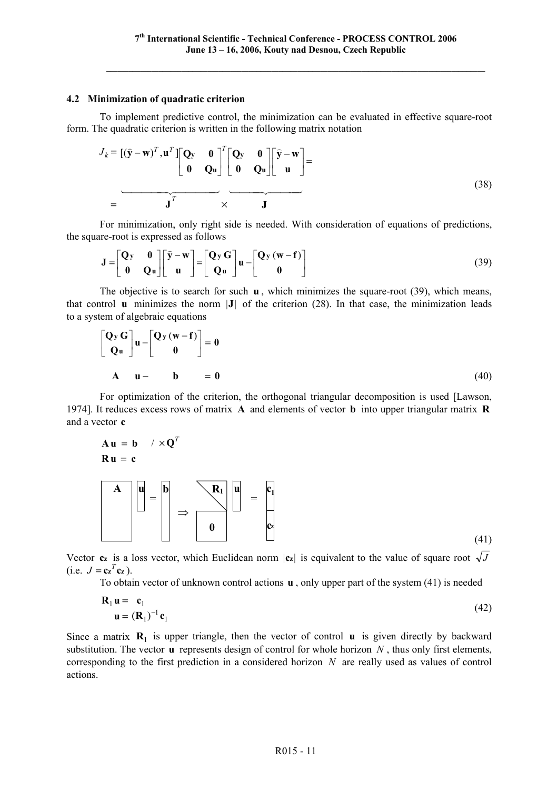#### **4.2 Minimization of quadratic criterion**

To implement predictive control, the minimization can be evaluated in effective square-root form. The quadratic criterion is written in the following matrix notation

$$
J_k = [(\hat{\mathbf{y}} - \mathbf{w})^T, \mathbf{u}^T] \begin{bmatrix} \mathbf{Q} & \mathbf{0} \\ \mathbf{0} & \mathbf{Q} \mathbf{u} \end{bmatrix}^T \begin{bmatrix} \mathbf{Q} & \mathbf{0} \\ \mathbf{0} & \mathbf{Q} \mathbf{u} \end{bmatrix} \begin{bmatrix} \hat{\mathbf{y}} - \mathbf{w} \\ \mathbf{u} \end{bmatrix} =
$$
\n
$$
= \mathbf{J}^T \times \mathbf{J}
$$
\n(38)

For minimization, only right side is needed. With consideration of equations of predictions, the square-root is expressed as follows

$$
\mathbf{J} = \begin{bmatrix} \mathbf{Q}y & \mathbf{0} \\ \mathbf{0} & \mathbf{Q}u \end{bmatrix} \begin{bmatrix} \hat{\mathbf{y}} - \mathbf{w} \\ \mathbf{u} \end{bmatrix} = \begin{bmatrix} \mathbf{Q}y \mathbf{G} \\ \mathbf{Q}u \end{bmatrix} \mathbf{u} - \begin{bmatrix} \mathbf{Q}y (\mathbf{w} - \mathbf{f}) \\ \mathbf{0} \end{bmatrix}
$$
(39)

The objective is to search for such **u** , which minimizes the square-root (39), which means, that control  $\bf{u}$  minimizes the norm  $|\bf{J}|$  of the criterion (28). In that case, the minimization leads to a system of algebraic equations

$$
\begin{bmatrix} \mathbf{Q}_y \mathbf{G} \\ \mathbf{Q}_u \end{bmatrix} \mathbf{u} - \begin{bmatrix} \mathbf{Q}_y (\mathbf{w} - \mathbf{f}) \\ \mathbf{0} \end{bmatrix} = \mathbf{0}
$$
  
\n**A**  $\mathbf{u} - \mathbf{b} = \mathbf{0}$  (40)

For optimization of the criterion, the orthogonal triangular decomposition is used [Lawson, 1974]. It reduces excess rows of matrix **A** and elements of vector **b** into upper triangular matrix **R** and a vector **c**

$$
\mathbf{A} \mathbf{u} = \mathbf{b} \quad / \times \mathbf{Q}^T
$$
\n
$$
\mathbf{R} \mathbf{u} = \mathbf{c}
$$
\n
$$
\mathbf{A} \quad \mathbf{u} = \mathbf{b} \quad \mathbf{R} \quad \mathbf{R} \quad \mathbf{u} = \mathbf{c}
$$
\n
$$
\mathbf{a} \quad \mathbf{b} \quad \mathbf{b} \quad \mathbf{b} \quad \mathbf{b} \quad \mathbf{b} \quad \mathbf{b} \quad \mathbf{b} \quad \mathbf{b} \quad \mathbf{c}
$$

(41)

Vector  $c_z$  is a loss vector, which Euclidean norm  $|c_z|$  is equivalent to the value of square root  $\sqrt{J}$  $(i.e. J = c \mathbf{z}^T c \mathbf{z}).$ 

To obtain vector of unknown control actions **u** , only upper part of the system (41) is needed

$$
\mathbf{R}_1 \mathbf{u} = \mathbf{c}_1
$$
  

$$
\mathbf{u} = (\mathbf{R}_1)^{-1} \mathbf{c}_1
$$
 (42)

Since a matrix  $\mathbf{R}_1$  is upper triangle, then the vector of control **u** is given directly by backward substitution. The vector **u** represents design of control for whole horizon *N* , thus only first elements, corresponding to the first prediction in a considered horizon *N* are really used as values of control actions.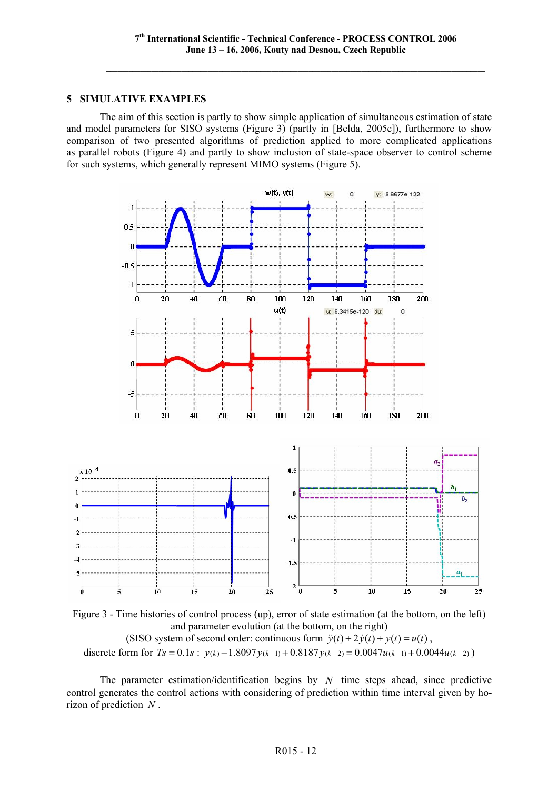# **5 SIMULATIVE EXAMPLES**

The aim of this section is partly to show simple application of simultaneous estimation of state and model parameters for SISO systems (Figure 3) (partly in [Belda, 2005c]), furthermore to show comparison of two presented algorithms of prediction applied to more complicated applications as parallel robots (Figure 4) and partly to show inclusion of state-space observer to control scheme for such systems, which generally represent MIMO systems (Figure 5).



Figure 3 - Time histories of control process (up), error of state estimation (at the bottom, on the left) and parameter evolution (at the bottom, on the right) (SISO system of second order: continuous form  $\ddot{y}(t) + 2\dot{y}(t) + y(t) = u(t)$ , discrete form for  $Ts = 0.1s$ ;  $v(k) - 1.8097v(k-1) + 0.8187v(k-2) = 0.0047u(k-1) + 0.0044u(k-2)$ 

The parameter estimation/identification begins by *N* time steps ahead, since predictive control generates the control actions with considering of prediction within time interval given by horizon of prediction *N* .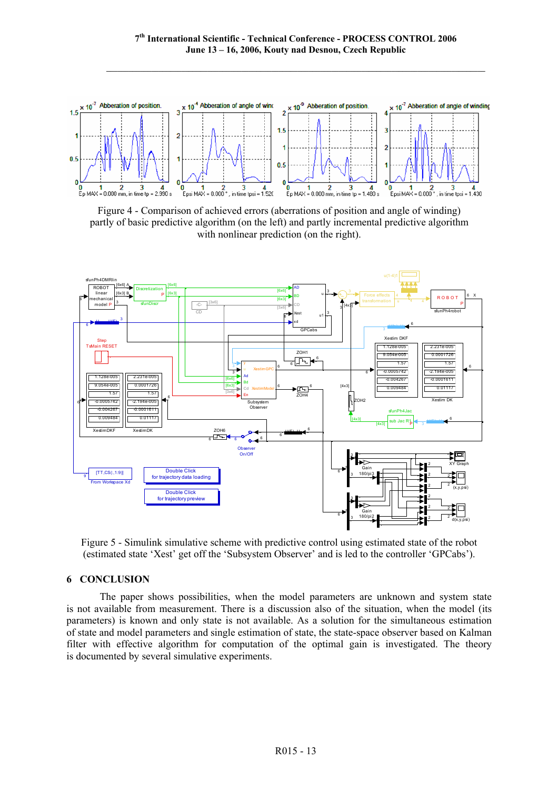

Figure 4 - Comparison of achieved errors (aberrations of position and angle of winding) partly of basic predictive algorithm (on the left) and partly incremental predictive algorithm with nonlinear prediction (on the right).



Figure 5 - Simulink simulative scheme with predictive control using estimated state of the robot (estimated state 'Xest' get off the 'Subsystem Observer' and is led to the controller 'GPCabs').

# **6 CONCLUSION**

The paper shows possibilities, when the model parameters are unknown and system state is not available from measurement. There is a discussion also of the situation, when the model (its parameters) is known and only state is not available. As a solution for the simultaneous estimation of state and model parameters and single estimation of state, the state-space observer based on Kalman filter with effective algorithm for computation of the optimal gain is investigated. The theory is documented by several simulative experiments.